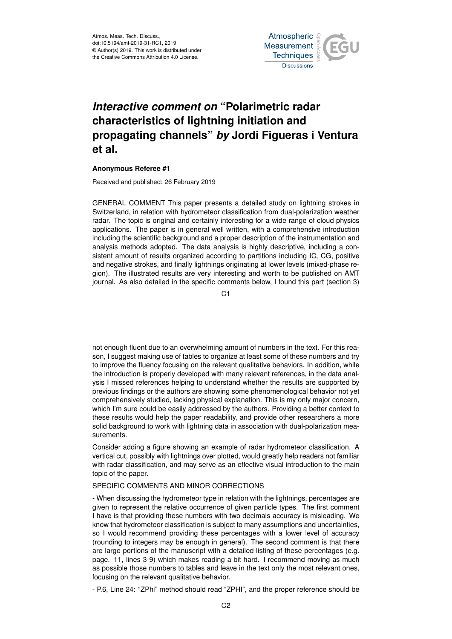

## *Interactive comment on* **"Polarimetric radar characteristics of lightning initiation and propagating channels"** *by* **Jordi Figueras i Ventura et al.**

## **Anonymous Referee #1**

Received and published: 26 February 2019

GENERAL COMMENT This paper presents a detailed study on lightning strokes in Switzerland, in relation with hydrometeor classification from dual-polarization weather radar. The topic is original and certainly interesting for a wide range of cloud physics applications. The paper is in general well written, with a comprehensive introduction including the scientific background and a proper description of the instrumentation and analysis methods adopted. The data analysis is highly descriptive, including a consistent amount of results organized according to partitions including IC, CG, positive and negative strokes, and finally lightnings originating at lower levels (mixed-phase region). The illustrated results are very interesting and worth to be published on AMT journal. As also detailed in the specific comments below, I found this part (section 3)

 $C<sub>1</sub>$ 

not enough fluent due to an overwhelming amount of numbers in the text. For this reason, I suggest making use of tables to organize at least some of these numbers and try to improve the fluency focusing on the relevant qualitative behaviors. In addition, while the introduction is properly developed with many relevant references, in the data analysis I missed references helping to understand whether the results are supported by previous findings or the authors are showing some phenomenological behavior not yet comprehensively studied, lacking physical explanation. This is my only major concern, which I'm sure could be easily addressed by the authors. Providing a better context to these results would help the paper readability, and provide other researchers a more solid background to work with lightning data in association with dual-polarization measurements.

Consider adding a figure showing an example of radar hydrometeor classification. A vertical cut, possibly with lightnings over plotted, would greatly help readers not familiar with radar classification, and may serve as an effective visual introduction to the main topic of the paper.

## SPECIFIC COMMENTS AND MINOR CORRECTIONS

- When discussing the hydrometeor type in relation with the lightnings, percentages are given to represent the relative occurrence of given particle types. The first comment I have is that providing these numbers with two decimals accuracy is misleading. We know that hydrometeor classification is subject to many assumptions and uncertainties, so I would recommend providing these percentages with a lower level of accuracy (rounding to integers may be enough in general). The second comment is that there are large portions of the manuscript with a detailed listing of these percentages (e.g. page. 11, lines 3-9) which makes reading a bit hard. I recommend moving as much as possible those numbers to tables and leave in the text only the most relevant ones, focusing on the relevant qualitative behavior.

- P.6, Line 24: "ZPhi" method should read "ZPHI", and the proper reference should be